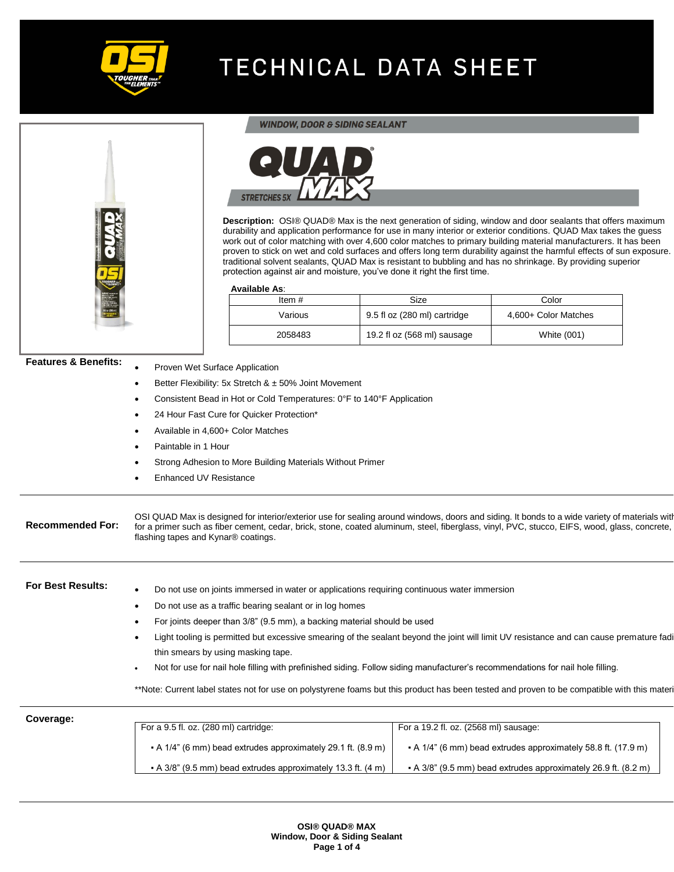







**Description:** OSI® QUAD® Max is the next generation of siding, window and door sealants that offers maximum durability and application performance for use in many interior or exterior conditions. QUAD Max takes the guess work out of color matching with over 4,600 color matches to primary building material manufacturers. It has been proven to stick on wet and cold surfaces and offers long term durability against the harmful effects of sun exposure. traditional solvent sealants, QUAD Max is resistant to bubbling and has no shrinkage. By providing superior protection against air and moisture, you've done it right the first time.

#### **Available As**:

• Proven Wet Surface Application

| Item $#$ | <b>Size</b>                  | Color                |
|----------|------------------------------|----------------------|
| Various  | 9.5 fl oz (280 ml) cartridge | 4,600+ Color Matches |
| 2058483  | 19.2 fl oz (568 ml) sausage  | White (001)          |

### **Features & Benefits:**

|                          | Better Flexibility: 5x Stretch $& 450\%$ Joint Movement                                                                                                                                                                                                                                                                              |  |
|--------------------------|--------------------------------------------------------------------------------------------------------------------------------------------------------------------------------------------------------------------------------------------------------------------------------------------------------------------------------------|--|
|                          | Consistent Bead in Hot or Cold Temperatures: 0°F to 140°F Application                                                                                                                                                                                                                                                                |  |
|                          | 24 Hour Fast Cure for Quicker Protection*                                                                                                                                                                                                                                                                                            |  |
|                          | Available in 4,600+ Color Matches                                                                                                                                                                                                                                                                                                    |  |
|                          | Paintable in 1 Hour                                                                                                                                                                                                                                                                                                                  |  |
|                          | Strong Adhesion to More Building Materials Without Primer                                                                                                                                                                                                                                                                            |  |
|                          | <b>Enhanced UV Resistance</b>                                                                                                                                                                                                                                                                                                        |  |
|                          |                                                                                                                                                                                                                                                                                                                                      |  |
| <b>Recommended For:</b>  | OSI QUAD Max is designed for interior/exterior use for sealing around windows, doors and siding. It bonds to a wide variety of materials with<br>for a primer such as fiber cement, cedar, brick, stone, coated aluminum, steel, fiberglass, vinyl, PVC, stucco, EIFS, wood, glass, concrete,<br>flashing tapes and Kynar® coatings. |  |
| <b>For Best Results:</b> | Do not use on joints immersed in water or applications requiring continuous water immersion                                                                                                                                                                                                                                          |  |
|                          | Do not use as a traffic bearing sealant or in log homes                                                                                                                                                                                                                                                                              |  |
|                          | For joints deeper than 3/8" (9.5 mm), a backing material should be used                                                                                                                                                                                                                                                              |  |
|                          | Light tooling is permitted but excessive smearing of the sealant beyond the joint will limit UV resistance and can cause premature fadi                                                                                                                                                                                              |  |
|                          | thin smears by using masking tape.                                                                                                                                                                                                                                                                                                   |  |
|                          | Not for use for nail hole filling with prefinished siding. Follow siding manufacturer's recommendations for nail hole filling.                                                                                                                                                                                                       |  |
|                          | **Note: Current label states not for use on polystyrene foams but this product has been tested and proven to be compatible with this materi                                                                                                                                                                                          |  |
|                          |                                                                                                                                                                                                                                                                                                                                      |  |

**Coverage:** For a 9.5 fl. oz. (280 ml) cartridge: ▪ A 1/4" (6 mm) bead extrudes approximately 29.1 ft. (8.9 m) ▪ A 3/8" (9.5 mm) bead extrudes approximately 13.3 ft. (4 m) For a 19.2 fl. oz. (2568 ml) sausage: ▪ A 1/4" (6 mm) bead extrudes approximately 58.8 ft. (17.9 m) ▪ A 3/8" (9.5 mm) bead extrudes approximately 26.9 ft. (8.2 m)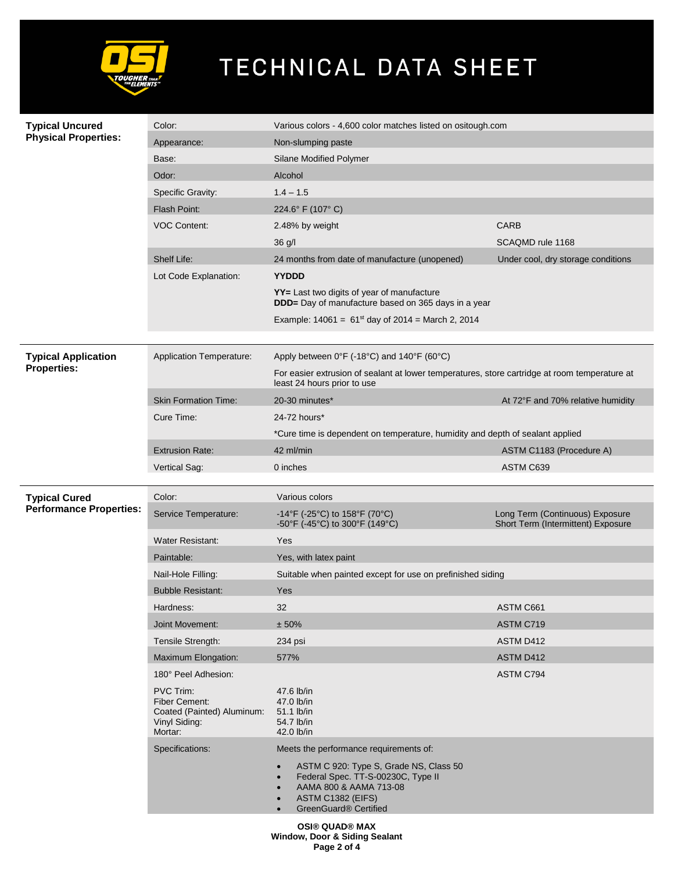

| <b>Typical Uncured</b><br><b>Physical Properties:</b> | Color:                                                                               | Various colors - 4,600 color matches listed on ositough.com                                                                                                                    |                                                                       |  |
|-------------------------------------------------------|--------------------------------------------------------------------------------------|--------------------------------------------------------------------------------------------------------------------------------------------------------------------------------|-----------------------------------------------------------------------|--|
|                                                       | Appearance:                                                                          | Non-slumping paste                                                                                                                                                             |                                                                       |  |
|                                                       | Base:                                                                                | Silane Modified Polymer                                                                                                                                                        |                                                                       |  |
|                                                       | Odor:                                                                                | Alcohol                                                                                                                                                                        |                                                                       |  |
|                                                       | Specific Gravity:                                                                    | $1.4 - 1.5$                                                                                                                                                                    |                                                                       |  |
|                                                       | Flash Point:                                                                         | 224.6° F (107° C)                                                                                                                                                              |                                                                       |  |
|                                                       | <b>VOC Content:</b>                                                                  | 2.48% by weight                                                                                                                                                                | <b>CARB</b>                                                           |  |
|                                                       |                                                                                      | 36 g/l                                                                                                                                                                         | SCAQMD rule 1168                                                      |  |
|                                                       | Shelf Life:                                                                          | 24 months from date of manufacture (unopened)                                                                                                                                  | Under cool, dry storage conditions                                    |  |
|                                                       | Lot Code Explanation:                                                                | <b>YYDDD</b>                                                                                                                                                                   |                                                                       |  |
|                                                       |                                                                                      | YY= Last two digits of year of manufacture<br><b>DDD</b> = Day of manufacture based on 365 days in a year                                                                      |                                                                       |  |
|                                                       |                                                                                      | Example: $14061 = 61^{st}$ day of 2014 = March 2, 2014                                                                                                                         |                                                                       |  |
| <b>Typical Application</b>                            | Application Temperature:                                                             | Apply between $0^{\circ}F$ (-18 $^{\circ}C$ ) and 140 $^{\circ}F$ (60 $^{\circ}C$ )                                                                                            |                                                                       |  |
| <b>Properties:</b>                                    |                                                                                      | For easier extrusion of sealant at lower temperatures, store cartridge at room temperature at<br>least 24 hours prior to use                                                   |                                                                       |  |
|                                                       | <b>Skin Formation Time:</b>                                                          | 20-30 minutes*                                                                                                                                                                 | At 72°F and 70% relative humidity                                     |  |
|                                                       | Cure Time:                                                                           | 24-72 hours*                                                                                                                                                                   |                                                                       |  |
|                                                       |                                                                                      | *Cure time is dependent on temperature, humidity and depth of sealant applied                                                                                                  |                                                                       |  |
|                                                       | <b>Extrusion Rate:</b>                                                               | 42 ml/min                                                                                                                                                                      | ASTM C1183 (Procedure A)                                              |  |
|                                                       | Vertical Sag:                                                                        | 0 inches                                                                                                                                                                       | ASTM C639                                                             |  |
|                                                       |                                                                                      |                                                                                                                                                                                |                                                                       |  |
|                                                       |                                                                                      |                                                                                                                                                                                |                                                                       |  |
| <b>Typical Cured</b>                                  | Color:                                                                               | Various colors                                                                                                                                                                 |                                                                       |  |
| <b>Performance Properties:</b>                        | Service Temperature:                                                                 | -14°F (-25°C) to 158°F (70°C)<br>-50°F (-45°C) to 300°F (149°C)                                                                                                                | Long Term (Continuous) Exposure<br>Short Term (Intermittent) Exposure |  |
|                                                       | <b>Water Resistant:</b>                                                              | Yes                                                                                                                                                                            |                                                                       |  |
|                                                       | Paintable:                                                                           | Yes, with latex paint                                                                                                                                                          |                                                                       |  |
|                                                       | Nail-Hole Filling:                                                                   | Suitable when painted except for use on prefinished siding                                                                                                                     |                                                                       |  |
|                                                       | <b>Bubble Resistant:</b>                                                             | <b>Yes</b>                                                                                                                                                                     |                                                                       |  |
|                                                       | Hardness:                                                                            | 32                                                                                                                                                                             | ASTM C661                                                             |  |
|                                                       | Joint Movement:                                                                      | ± 50%                                                                                                                                                                          | ASTM C719                                                             |  |
|                                                       | Tensile Strength:                                                                    | 234 psi                                                                                                                                                                        | ASTM D412                                                             |  |
|                                                       | Maximum Elongation:                                                                  | 577%                                                                                                                                                                           | ASTM D412                                                             |  |
|                                                       | 180° Peel Adhesion:                                                                  |                                                                                                                                                                                | ASTM C794                                                             |  |
|                                                       | PVC Trim:<br>Fiber Cement:<br>Coated (Painted) Aluminum:<br>Vinyl Siding:<br>Mortar: | 47.6 lb/in<br>47.0 lb/in<br>51.1 lb/in<br>54.7 lb/in<br>42.0 lb/in                                                                                                             |                                                                       |  |
|                                                       | Specifications:                                                                      | Meets the performance requirements of:                                                                                                                                         |                                                                       |  |
|                                                       |                                                                                      | ASTM C 920: Type S, Grade NS, Class 50<br>$\bullet$<br>Federal Spec. TT-S-00230C, Type II<br>AAMA 800 & AAMA 713-08<br>ASTM C1382 (EIFS)<br>$\bullet$<br>GreenGuard® Certified |                                                                       |  |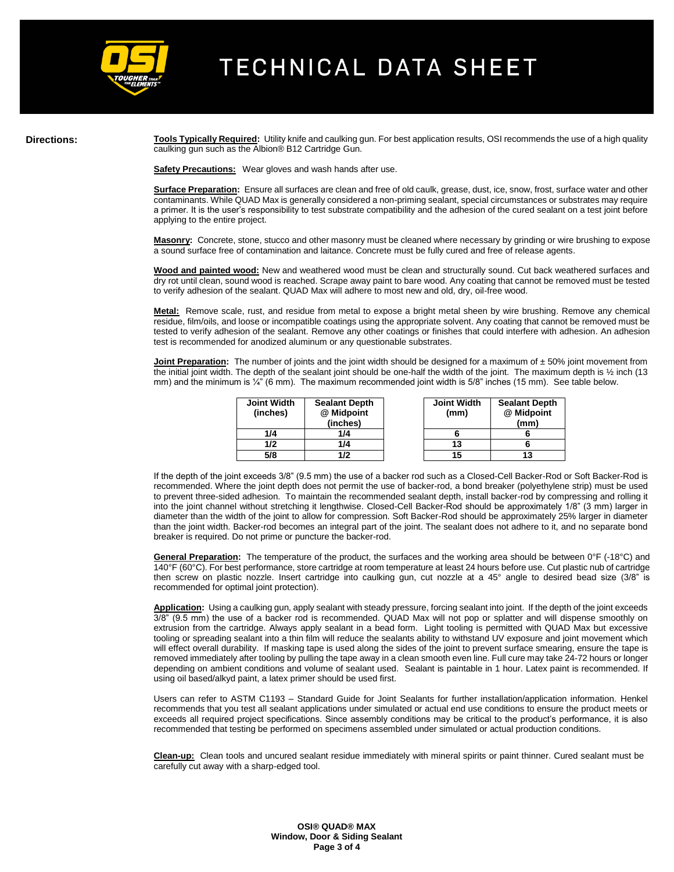

**Directions:** Tools Typically Required: Utility knife and caulking gun. For best application results, OSI recommends the use of a high quality caulking gun such as the Albion® B12 Cartridge Gun.

**Safety Precautions:** Wear gloves and wash hands after use.

**Surface Preparation:** Ensure all surfaces are clean and free of old caulk, grease, dust, ice, snow, frost, surface water and other contaminants. While QUAD Max is generally considered a non-priming sealant, special circumstances or substrates may require a primer. It is the user's responsibility to test substrate compatibility and the adhesion of the cured sealant on a test joint before applying to the entire project.

**Masonry:** Concrete, stone, stucco and other masonry must be cleaned where necessary by grinding or wire brushing to expose a sound surface free of contamination and laitance. Concrete must be fully cured and free of release agents.

**Wood and painted wood:** New and weathered wood must be clean and structurally sound. Cut back weathered surfaces and dry rot until clean, sound wood is reached. Scrape away paint to bare wood. Any coating that cannot be removed must be tested to verify adhesion of the sealant. QUAD Max will adhere to most new and old, dry, oil-free wood.

**Metal:** Remove scale, rust, and residue from metal to expose a bright metal sheen by wire brushing. Remove any chemical residue, film/oils, and loose or incompatible coatings using the appropriate solvent. Any coating that cannot be removed must be tested to verify adhesion of the sealant. Remove any other coatings or finishes that could interfere with adhesion. An adhesion test is recommended for anodized aluminum or any questionable substrates.

**Joint Preparation:** The number of joints and the joint width should be designed for a maximum of  $\pm$  50% joint movement from the initial joint width. The depth of the sealant joint should be one-half the width of the joint. The maximum depth is 1/2 inch (13) mm) and the minimum is ¼" (6 mm). The maximum recommended joint width is 5/8" inches (15 mm). See table below.

| <b>Joint Width</b><br>(inches) | <b>Sealant Depth</b><br>@ Midpoint<br>(inches) | <b>Joint Width</b><br>(mm) | <b>Sealant Depth</b><br>@ Midpoint<br>(mm) |
|--------------------------------|------------------------------------------------|----------------------------|--------------------------------------------|
| 1/4                            | 1/4                                            |                            |                                            |
| 1/2                            | 1/4                                            |                            |                                            |
| 5/8                            | 112                                            |                            |                                            |

If the depth of the joint exceeds 3/8" (9.5 mm) the use of a backer rod such as a Closed-Cell Backer-Rod or Soft Backer-Rod is recommended. Where the joint depth does not permit the use of backer-rod, a bond breaker (polyethylene strip) must be used to prevent three-sided adhesion. To maintain the recommended sealant depth, install backer-rod by compressing and rolling it into the joint channel without stretching it lengthwise. Closed-Cell Backer-Rod should be approximately 1/8" (3 mm) larger in diameter than the width of the joint to allow for compression. Soft Backer-Rod should be approximately 25% larger in diameter than the joint width. Backer-rod becomes an integral part of the joint. The sealant does not adhere to it, and no separate bond breaker is required. Do not prime or puncture the backer-rod.

**General Preparation:** The temperature of the product, the surfaces and the working area should be between 0°F (-18°C) and 140°F (60°C). For best performance, store cartridge at room temperature at least 24 hours before use. Cut plastic nub of cartridge then screw on plastic nozzle. Insert cartridge into caulking gun, cut nozzle at a 45° angle to desired bead size (3/8" is recommended for optimal joint protection).

**Application:** Using a caulking gun, apply sealant with steady pressure, forcing sealant into joint. If the depth of the joint exceeds 3/8" (9.5 mm) the use of a backer rod is recommended. QUAD Max will not pop or splatter and will dispense smoothly on extrusion from the cartridge. Always apply sealant in a bead form. Light tooling is permitted with QUAD Max but excessive tooling or spreading sealant into a thin film will reduce the sealants ability to withstand UV exposure and joint movement which will effect overall durability. If masking tape is used along the sides of the joint to prevent surface smearing, ensure the tape is removed immediately after tooling by pulling the tape away in a clean smooth even line. Full cure may take 24-72 hours or longer depending on ambient conditions and volume of sealant used. Sealant is paintable in 1 hour. Latex paint is recommended. If using oil based/alkyd paint, a latex primer should be used first.

Users can refer to ASTM C1193 – Standard Guide for Joint Sealants for further installation/application information. Henkel recommends that you test all sealant applications under simulated or actual end use conditions to ensure the product meets or exceeds all required project specifications. Since assembly conditions may be critical to the product's performance, it is also recommended that testing be performed on specimens assembled under simulated or actual production conditions.

**Clean-up:** Clean tools and uncured sealant residue immediately with mineral spirits or paint thinner. Cured sealant must be carefully cut away with a sharp-edged tool.